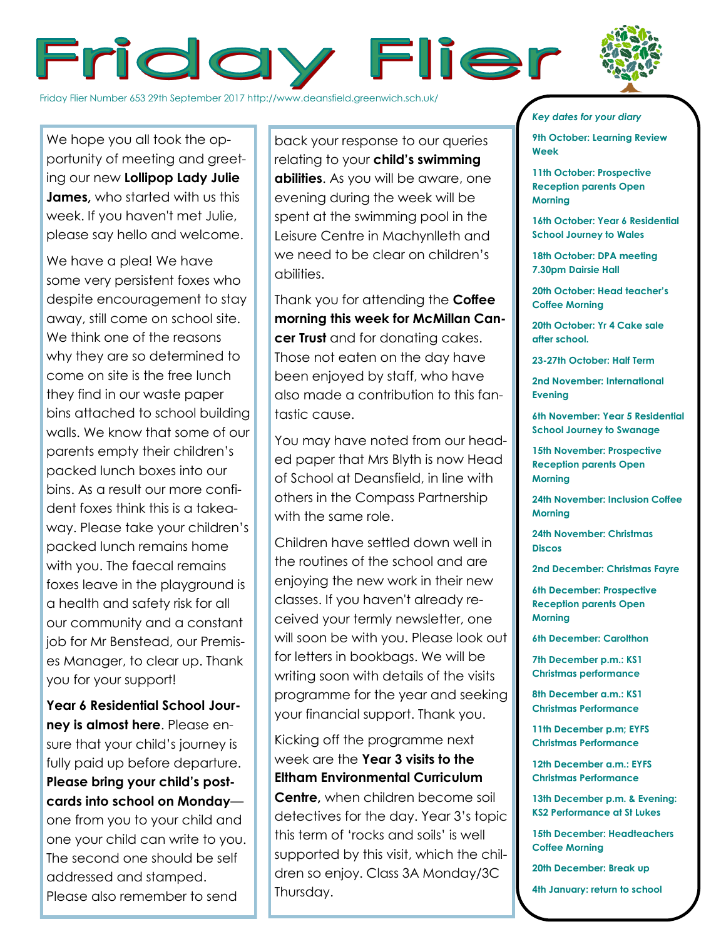



Friday Flier Number 653 29th September 2017 http://www.deansfield.greenwich.sch.uk/

We hope you all took the opportunity of meeting and greeting our new **Lollipop Lady Julie James,** who started with us this week. If you haven't met Julie, please say hello and welcome.

We have a plea! We have some very persistent foxes who despite encouragement to stay away, still come on school site. We think one of the reasons why they are so determined to come on site is the free lunch they find in our waste paper bins attached to school building walls. We know that some of our parents empty their children's packed lunch boxes into our bins. As a result our more confident foxes think this is a takeaway. Please take your children's packed lunch remains home with you. The faecal remains foxes leave in the playground is a health and safety risk for all our community and a constant job for Mr Benstead, our Premises Manager, to clear up. Thank you for your support!

**Year 6 Residential School Journey is almost here**. Please ensure that your child's journey is fully paid up before departure. **Please bring your child's postcards into school on Monday** one from you to your child and one your child can write to you. The second one should be self addressed and stamped. Please also remember to send

back your response to our queries relating to your **child's swimming abilities**. As you will be aware, one evening during the week will be spent at the swimming pool in the Leisure Centre in Machynlleth and we need to be clear on children's abilities.

Thank you for attending the **Coffee morning this week for McMillan Cancer Trust** and for donating cakes. Those not eaten on the day have been enjoyed by staff, who have also made a contribution to this fantastic cause.

You may have noted from our headed paper that Mrs Blyth is now Head of School at Deansfield, in line with others in the Compass Partnership with the same role.

Children have settled down well in the routines of the school and are enjoying the new work in their new classes. If you haven't already received your termly newsletter, one will soon be with you. Please look out for letters in bookbags. We will be writing soon with details of the visits programme for the year and seeking your financial support. Thank you.

Kicking off the programme next week are the **Year 3 visits to the Eltham Environmental Curriculum Centre,** when children become soil detectives for the day. Year 3's topic this term of 'rocks and soils' is well supported by this visit, which the children so enjoy. Class 3A Monday/3C Thursday.

## *Key dates for your diary*

**9th October: Learning Review Week**

**11th October: Prospective Reception parents Open Morning**

**16th October: Year 6 Residential School Journey to Wales**

**18th October: DPA meeting 7.30pm Dairsie Hall**

**20th October: Head teacher's Coffee Morning**

**20th October: Yr 4 Cake sale after school.**

**23-27th October: Half Term**

**2nd November: International Evening**

**6th November: Year 5 Residential School Journey to Swanage**

**15th November: Prospective Reception parents Open Morning**

**24th November: Inclusion Coffee Morning**

**24th November: Christmas Discos**

**2nd December: Christmas Fayre**

**6th December: Prospective Reception parents Open Morning**

**6th December: Carolthon**

**7th December p.m.: KS1 Christmas performance**

**8th December a.m.: KS1 Christmas Performance**

**11th December p.m; EYFS Christmas Performance**

**12th December a.m.: EYFS Christmas Performance**

**13th December p.m. & Evening: KS2 Performance at St Lukes**

**15th December: Headteachers Coffee Morning**

**20th December: Break up**

**4th January: return to school**